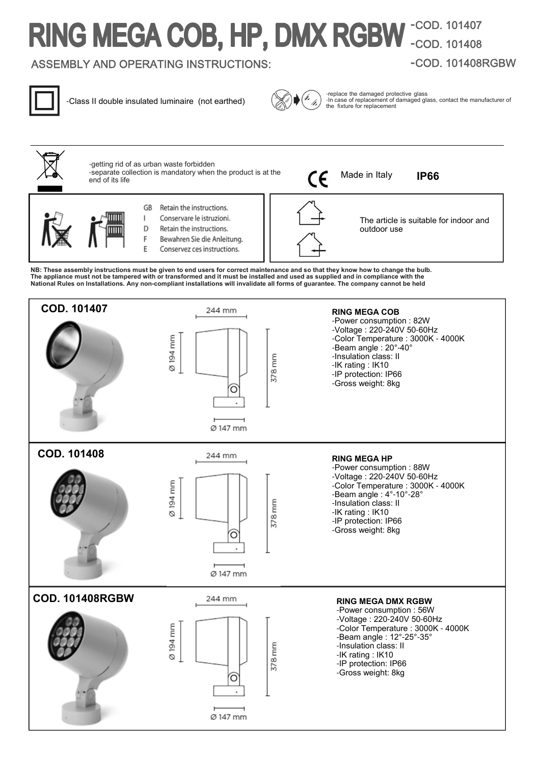# **-**COD. 101407 **-**COD. 101408

## ASSEMBLY AND OPERATING INSTRUCTIONS:

## **-**COD. 101408RGBW



-Class II double insulated luminaire (not earthed)



-replace the damaged protective glass -In case of replacement of damaged glass, contact the manufacturer of the fixture for replacement

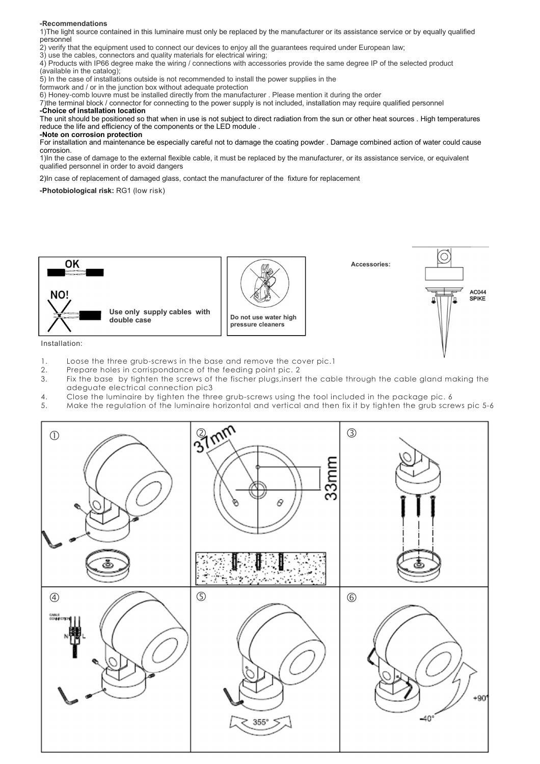#### **-Recommendations**

1)The light source contained in this luminaire must only be replaced by the manufacturer or its assistance service or by equally qualified personnel

2) verify that the equipment used to connect our devices to enjoy all the guarantees required under European law;

3) use the cables, connectors and quality materials for electrical wiring;

4) Products with IP66 degree make the wiring / connections with accessories provide the same degree IP of the selected product (available in the catalog);

5) In the case of installations outside is not recommended to install the power supplies in the

formwork and / or in the junction box without adequate protection

6) Honey-comb louvre must be installed directly from the manufacturer . Please mention it during the order

7)the terminal block / connector for connecting to the power supply is not included, installation may require qualified personnel

#### **-Choice of installation location**

The unit should be positioned so that when in use is not subject to direct radiation from the sun or other heat sources . High temperatures reduce the life and efficiency of the components or the LED module .

#### **-Note on corrosion protection**

For installation and maintenance be especially careful not to damage the coating powder . Damage combined action of water could cause corrosion.

1)In the case of damage to the external flexible cable, it must be replaced by the manufacturer, or its assistance service, or equivalent qualified personnel in order to avoid dangers

2)In case of replacement of damaged glass, contact the manufacturer of the fixture for replacement

**-Photobiological risk:** RG1 (low risk)



Installation:

- 1. Loose the three grub-screws in the base and remove the cover pic.1<br>2. Prepare holes in corrispondance of the feeding point pic. 2
- 2. Prepare holes in corrispondance of the feeding point pic. 2
- 3. Fix the base by tighten the screws of the fischer plugs,insert the cable through the cable gland making the adeguate electrical connection pic3
- 4. Close the luminaire by tighten the three grub-screws using the tool included in the package pic. 6<br>5. Make the reaulation of the luminaire horizontal and vertical and then fix it by tighten the grub scre
- 5. Make the regulation of the luminaire horizontal and vertical and then fix it by tighten the grub screws pic 5-6

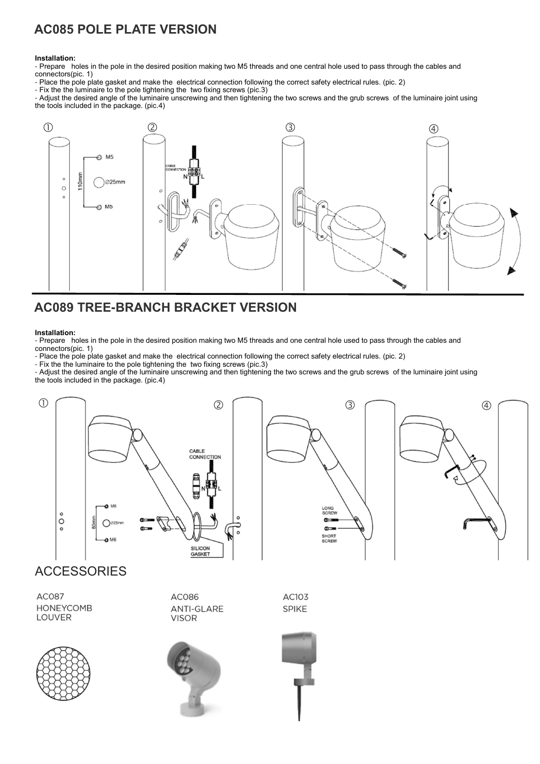## **AC085 POLE PLATE VERSION**

#### **Installation:**

- Prepare holes in the pole in the desired position making two M5 threads and one central hole used to pass through the cables and connectors(pic. 1)

- Place the pole plate gasket and make the electrical connection following the correct safety electrical rules. (pic. 2)

- Fix the the luminaire to the pole tightening the two fixing screws (pic.3)

- Adjust the desired angle of the luminaire unscrewing and then tightening the two screws and the grub screws of the luminaire joint using the tools included in the package. (pic.4)



## **AC089 TREE-BRANCH BRACKET VERSION**

#### **Installation:**

- Prepare holes in the pole in the desired position making two M5 threads and one central hole used to pass through the cables and connectors(pic. 1)

- Place the pole plate gasket and make the electrical connection following the correct safety electrical rules. (pic. 2)

- Fix the the luminaire to the pole tightening the two fixing screws (pic.3)

- Adjust the desired angle of the luminaire unscrewing and then tightening the two screws and the grub screws of the luminaire joint using the tools included in the package. (pic.4)



## **ACCESSORIES**

**AC087 HONEYCOMB LOUVER** 









AC103